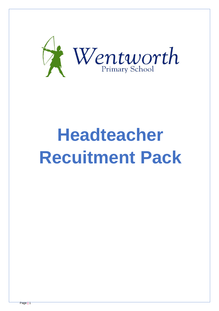

# **Headteacher Recuitment Pack**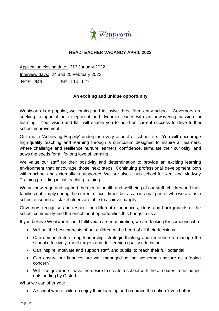

# **HEADTEACHER VACANCY APRIL 2022**

Application closing date: 31<sup>st</sup> January 2022 Interview days: 24 and 25 February 2022 NOR: 646 ISR: L14 - L27

# **An exciting and unique opportunity**

Wentworth is a popular, welcoming and inclusive three form entry school. Governors are seeking to appoint an exceptional and dynamic leader with an unwavering passion for learning. Your vision and flair will enable you to build on current success to drive further school improvement.

Our motto 'Achieving Happily' underpins every aspect of school life. You will encourage high-quality teaching and learning through a curriculum designed to inspire all learners, where challenge and resilience nurture learners' confidence, stimulate their curiosity, and sows the seeds for a life-long love of learning.

We value our staff for their positivity and determination to provide an exciting learning environment that encourage those next steps. Continuing professional development both within school and externally is supported. We are also a hub school for Kent and Medway Training providing initial teaching training.

We acknowledge and support the mental health and wellbeing of our staff, children and their families not simply during the current difficult times but as an integral part of who we are as a school ensuring all stakeholders are able to achieve happily.

Governors recognise and respect the different experiences, ideas and backgrounds of the school community and the enrichment opportunities this brings to us all.

If you believe Wentworth could fulfil your career aspiration, we are looking for someone who:

- Will put the best interests of our children at the heart of all their decisions.
- Can demonstrate strong leadership, strategic thinking and resilience to manage the school effectively, meet targets and deliver high quality education.
- Can inspire, motivate and support staff, and pupils, to reach their full potential.
- Can ensure our finances are well managed so that we remain secure as a 'going concern'
- Will, like governors, have the desire to create a school with the attributes to be judged outstanding by Ofsted.

What we can offer you:

• A school where children enjoy their learning and embrace the notion 'even better if ..'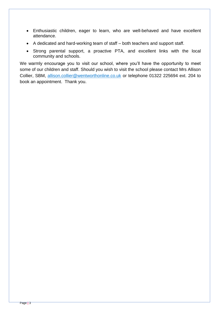- Enthusiastic children, eager to learn, who are well-behaved and have excellent attendance.
- A dedicated and hard-working team of staff both teachers and support staff.
- Strong parental support, a proactive PTA, and excellent links with the local community and schools.

We warmly encourage you to visit our school, where you'll have the opportunity to meet some of our children and staff. Should you wish to visit the school please contact Mrs Allison Collier, SBM, [allison.collier@wentworthonline.co.uk](mailto:allison.collier@wentworthonline.co.uk) or telephone 01322 225694 ext. 204 to book an appointment. Thank you.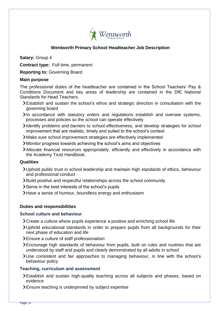

## **Wentworth Primary School Headteacher Job Description**

**Salary:** Group 4

**Contract type:** Full time, permanent

**Reporting to:** Governing Board

#### **Main purpose**

The professional duties of the headteacher are contained in the School Teachers' Pay & Conditions Document and key areas of leadership are contained in the DfE National Standards for Head Teachers.

- Establish and sustain the school's ethos and strategic direction in consultation with the governing board
- In accordance with statutory orders and regulations establish and oversee systems, processes and policies so the school can operate effectively
- Identify problems and barriers to school effectiveness, and develop strategies for school improvement that are realistic, timely and suited to the school's context
- Make sure school improvement strategies are effectively implemented
- Monitor progress towards achieving the school's aims and objectives
- Allocate financial resources appropriately, efficiently and effectively in accordance with the Academy Trust Handbook.

#### **Qualities**

- Uphold public trust in school leadership and maintain high standards of ethics, behaviour and professional conduct
- Build positive and respectful relationships across the school community
- Serve in the best interests of the school's pupils
- Have a sense of humour, boundless energy and enthusiasm

#### **Duties and responsibilities**

#### **School culture and behaviour**

- Create a culture where pupils experience a positive and enriching school life
- Uphold educational standards in order to prepare pupils from all backgrounds for their next phase of education and life
- Ensure a culture of staff professionalism
- Encourage high standards of behaviour from pupils, built on rules and routines that are understood by staff and pupils and clearly demonstrated by all adults in school
- Use consistent and fair approaches to managing behaviour, in line with the school's behaviour policy

#### **Teaching, curriculum and assessment**

- Establish and sustain high-quality teaching across all subjects and phases, based on evidence
- Ensure teaching is underpinned by subject expertise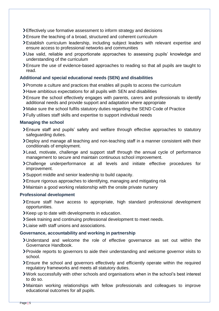- Effectively use formative assessment to inform strategy and decisions
- Ensure the teaching of a broad, structured and coherent curriculum
- Establish curriculum leadership, including subject leaders with relevant expertise and ensure access to professional networks and communities
- Use valid, reliable and proportionate approaches to assessing pupils' knowledge and understanding of the curriculum
- Ensure the use of evidence-based approaches to reading so that all pupils are taught to read.

# **Additional and special educational needs (SEN) and disabilities**

- Promote a culture and practices that enables all pupils to access the curriculum
- Have ambitious expectations for all pupils with SEN and disabilities
- Ensure the school effectively engages with parents, carers and professionals to identify additional needs and provide support and adaptation where appropriate
- Make sure the school fulfils statutory duties regarding the SEND Code of Practice
- Fully utilises staff skills and expertise to support individual needs

# **Managing the school**

- Ensure staff and pupils' safety and welfare through effective approaches to statutory safeguarding duties.
- Deploy and manage all teaching and non-teaching staff in a manner consistent with their conditionals of employment.
- Lead, motivate, challenge and support staff through the annual cycle of performance management to secure and maintain continuous school improvement.
- Challenge underperformance at all levels and initiate effective procedures for improvement.
- Support middle and senior leadership to build capacity.
- Ensure rigorous approaches to identifying, managing and mitigating risk
- Maintain a good working relationship with the onsite private nursery

# **Professional development**

- Ensure staff have access to appropriate, high standard professional development opportunities.
- Xeep up to date with developments in education.
- Seek training and continuing professional development to meet needs.
- Liaise with staff unions and associations.

#### **Governance, accountability and working in partnership**

- Understand and welcome the role of effective governance as set out within the Governance Handbook.
- Provide reports to governors to aide their understanding and welcome governor visits to school.
- Ensure the school and governors effectively and efficiently operate within the required regulatory frameworks and meets all statutory duties.
- Work successfully with other schools and organisations when in the school's best interest to do so.
- Maintain working relationships with fellow professionals and colleagues to improve educational outcomes for all pupils.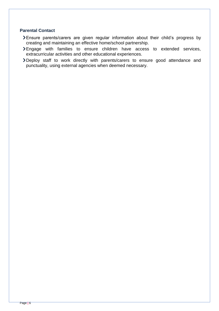## **Parental Contact**

- Ensure parents/carers are given regular information about their child's progress by creating and maintaining an effective home/school partnership.
- Engage with families to ensure children have access to extended services, extracurricular activities and other educational experiences.
- Deploy staff to work directly with parents/carers to ensure good attendance and punctuality, using external agencies when deemed necessary.